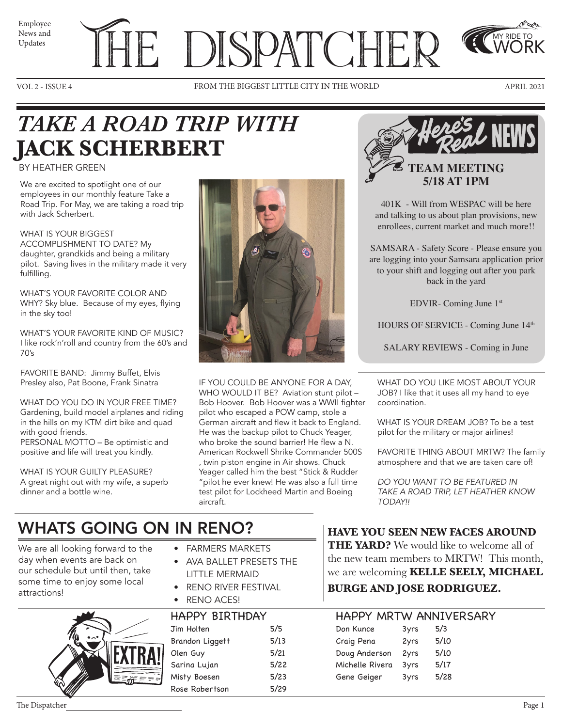News and Updates

# Employee THE DISPATCHER

VOL 2 - ISSUE 4 FROM THE BIGGEST LITTLE CITY IN THE WORLD APRIL 2021



MY RIDE TO WORK

## *TAKE A ROAD TRIP WITH*  **JACK SCHERBERT**

#### BY HEATHER GREEN

We are excited to spotlight one of our employees in our monthly feature Take a Road Trip. For May, we are taking a road trip with Jack Scherbert.

WHAT IS YOUR BIGGEST ACCOMPLISHMENT TO DATE? My daughter, grandkids and being a military pilot. Saving lives in the military made it very fulfilling.

WHAT'S YOUR FAVORITE COLOR AND WHY? Sky blue. Because of my eyes, flying in the sky too!

WHAT'S YOUR FAVORITE KIND OF MUSIC? I like rock'n'roll and country from the 60's and 70's

FAVORITE BAND: Jimmy Buffet, Elvis Presley also, Pat Boone, Frank Sinatra

WHAT DO YOU DO IN YOUR FREE TIME? Gardening, build model airplanes and riding in the hills on my KTM dirt bike and quad with good friends. PERSONAL MOTTO – Be optimistic and

positive and life will treat you kindly.

WHAT IS YOUR GUILTY PLEASURE? A great night out with my wife, a superb dinner and a bottle wine.



IF YOU COULD BE ANYONE FOR A DAY, WHO WOULD IT BE? Aviation stunt pilot -Bob Hoover. Bob Hoover was a WWII fighter pilot who escaped a POW camp, stole a German aircraft and flew it back to England. He was the backup pilot to Chuck Yeager, who broke the sound barrier! He flew a N. American Rockwell Shrike Commander 500S , twin piston engine in Air shows. Chuck Yeager called him the best "Stick & Rudder "pilot he ever knew! He was also a full time test pilot for Lockheed Martin and Boeing aircraft.



401K - Will from WESPAC will be here and talking to us about plan provisions, new enrollees, current market and much more!!

SAMSARA - Safety Score - Please ensure you are logging into your Samsara application prior to your shift and logging out after you park back in the yard

EDVIR- Coming June 1st

HOURS OF SERVICE - Coming June 14<sup>th</sup>

SALARY REVIEWS - Coming in June

WHAT DO YOU LIKE MOST ABOUT YOUR JOB? I like that it uses all my hand to eye coordination.

WHAT IS YOUR DREAM JOB? To be a test pilot for the military or major airlines!

FAVORITE THING ABOUT MRTW? The family atmosphere and that we are taken care of!

*DO YOU WANT TO BE FEATURED IN TAKE A ROAD TRIP, LET HEATHER KNOW TODAY!!* 

### WHATS GOING ON IN RENO?

We are all looking forward to the day when events are back on our schedule but until then, take some time to enjoy some local attractions!



- FARMERS MARKETS
- AVA BALLET PRESETS THE LITTLE MERMAID
- RENO RIVER FESTIVAL
- RENO ACES!

| <b>HAPPY BIRTHDAY</b> |      | <b>HAPPY MRTW ANNIY</b> |      |     |
|-----------------------|------|-------------------------|------|-----|
| Jim Holten            | 5/5  | Don Kunce               | 3yrs | 5/3 |
| Brandon Liggett       | 5/13 | Craig Pena              | 2yrs | 5/1 |
| Olen Guy              | 5/21 | Doug Anderson           | 2yrs | 5/1 |
| Sarina Lujan          | 5/22 | Michelle Rivera         | 3yrs | 5/1 |
| Misty Boesen          | 5/23 | Gene Geiger             | 3yrs | 5/2 |
| Rose Robertson        | 5/29 |                         |      |     |

**HAVE YOU SEEN NEW FACES AROUND THE YARD?** We would like to welcome all of the new team members to MRTW! This month, we are welcoming **KELLE SEELY, MICHAEL BURGE AND JOSE RODRIGUEZ.** 

#### HAPPY MRTW ANNIVERSARY

| 5/10 |
|------|
| 5/10 |
| 5/17 |
| 5/28 |
|      |